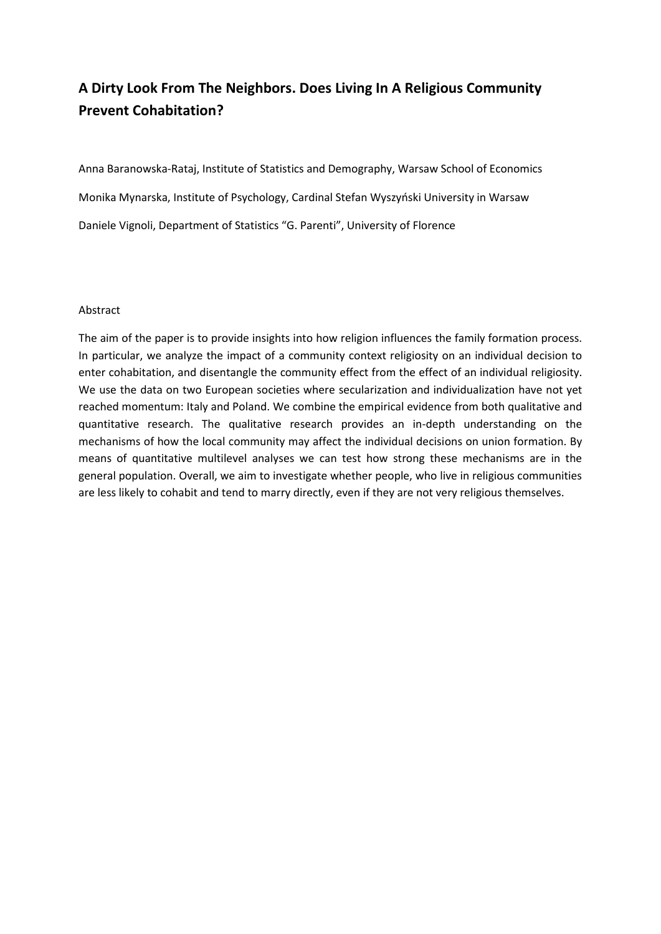# **A Dirty Look From The Neighbors. Does Living In A Religious Community Prevent Cohabitation?**

Anna Baranowska-Rataj, Institute of Statistics and Demography, Warsaw School of Economics Monika Mynarska, Institute of Psychology, Cardinal Stefan Wyszyński University in Warsaw Daniele Vignoli, Department of Statistics "G. Parenti", University of Florence

#### Abstract

The aim of the paper is to provide insights into how religion influences the family formation process. In particular, we analyze the impact of a community context religiosity on an individual decision to enter cohabitation, and disentangle the community effect from the effect of an individual religiosity. We use the data on two European societies where secularization and individualization have not yet reached momentum: Italy and Poland. We combine the empirical evidence from both qualitative and quantitative research. The qualitative research provides an in-depth understanding on the mechanisms of how the local community may affect the individual decisions on union formation. By means of quantitative multilevel analyses we can test how strong these mechanisms are in the general population. Overall, we aim to investigate whether people, who live in religious communities are less likely to cohabit and tend to marry directly, even if they are not very religious themselves.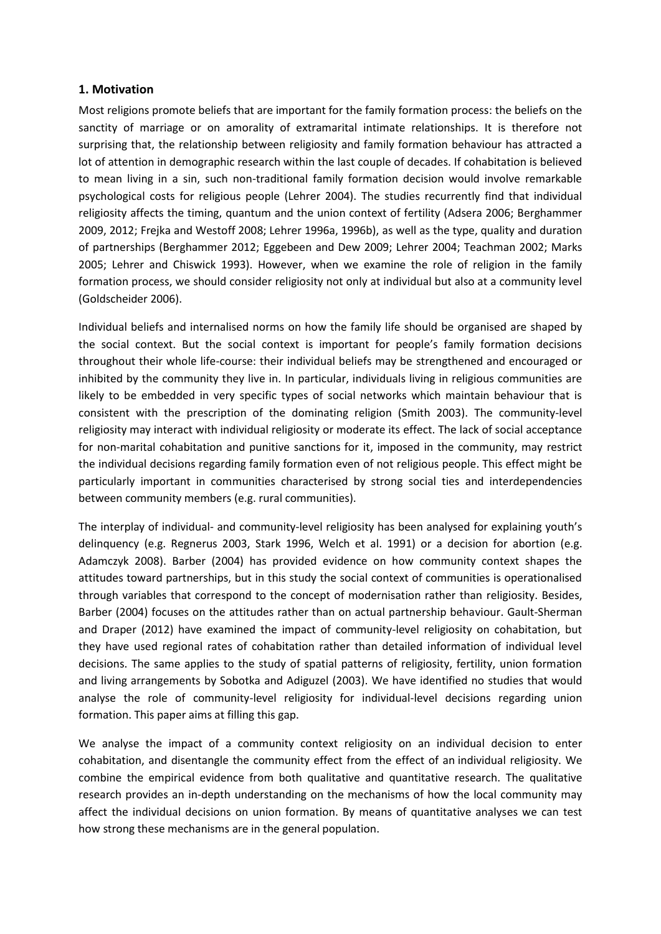## **1. Motivation**

Most religions promote beliefs that are important for the family formation process: the beliefs on the sanctity of marriage or on amorality of extramarital intimate relationships. It is therefore not surprising that, the relationship between religiosity and family formation behaviour has attracted a lot of attention in demographic research within the last couple of decades. If cohabitation is believed to mean living in a sin, such non-traditional family formation decision would involve remarkable psychological costs for religious people (Lehrer 2004). The studies recurrently find that individual religiosity affects the timing, quantum and the union context of fertility (Adsera 2006; Berghammer 2009, 2012; Frejka and Westoff 2008; Lehrer 1996a, 1996b), as well as the type, quality and duration of partnerships (Berghammer 2012; Eggebeen and Dew 2009; Lehrer 2004; Teachman 2002; Marks 2005; Lehrer and Chiswick 1993). However, when we examine the role of religion in the family formation process, we should consider religiosity not only at individual but also at a community level (Goldscheider 2006).

Individual beliefs and internalised norms on how the family life should be organised are shaped by the social context. But the social context is important for people's family formation decisions throughout their whole life-course: their individual beliefs may be strengthened and encouraged or inhibited by the community they live in. In particular, individuals living in religious communities are likely to be embedded in very specific types of social networks which maintain behaviour that is consistent with the prescription of the dominating religion (Smith 2003). The community-level religiosity may interact with individual religiosity or moderate its effect. The lack of social acceptance for non-marital cohabitation and punitive sanctions for it, imposed in the community, may restrict the individual decisions regarding family formation even of not religious people. This effect might be particularly important in communities characterised by strong social ties and interdependencies between community members (e.g. rural communities).

The interplay of individual- and community-level religiosity has been analysed for explaining youth's delinquency (e.g. Regnerus 2003, Stark 1996, Welch et al. 1991) or a decision for abortion (e.g. Adamczyk 2008). Barber (2004) has provided evidence on how community context shapes the attitudes toward partnerships, but in this study the social context of communities is operationalised through variables that correspond to the concept of modernisation rather than religiosity. Besides, Barber (2004) focuses on the attitudes rather than on actual partnership behaviour. Gault-Sherman and Draper (2012) have examined the impact of community-level religiosity on cohabitation, but they have used regional rates of cohabitation rather than detailed information of individual level decisions. The same applies to the study of spatial patterns of religiosity, fertility, union formation and living arrangements by Sobotka and Adiguzel (2003). We have identified no studies that would analyse the role of community-level religiosity for individual-level decisions regarding union formation. This paper aims at filling this gap.

We analyse the impact of a community context religiosity on an individual decision to enter cohabitation, and disentangle the community effect from the effect of an individual religiosity. We combine the empirical evidence from both qualitative and quantitative research. The qualitative research provides an in-depth understanding on the mechanisms of how the local community may affect the individual decisions on union formation. By means of quantitative analyses we can test how strong these mechanisms are in the general population.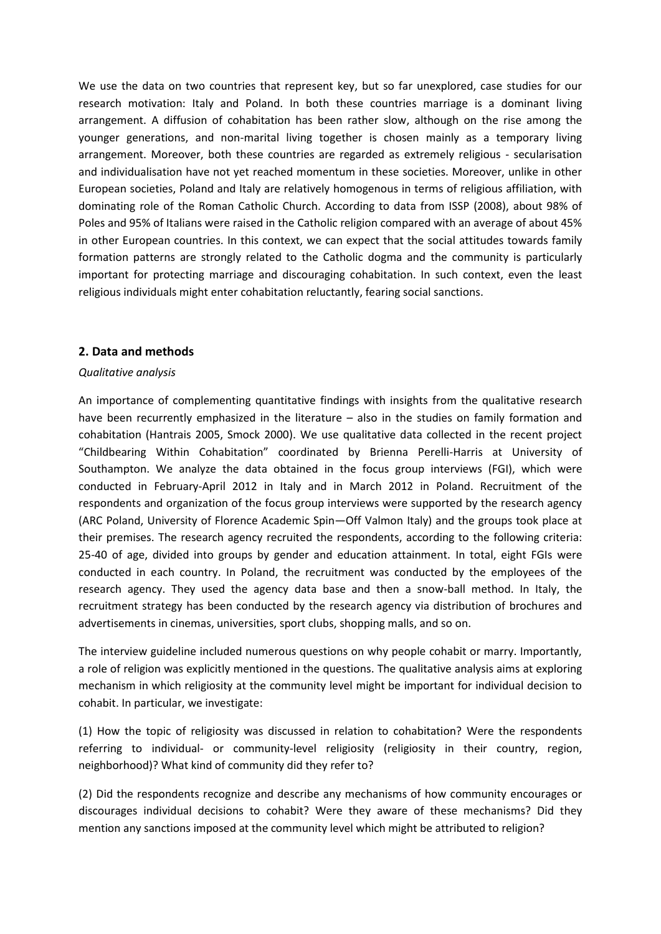We use the data on two countries that represent key, but so far unexplored, case studies for our research motivation: Italy and Poland. In both these countries marriage is a dominant living arrangement. A diffusion of cohabitation has been rather slow, although on the rise among the younger generations, and non-marital living together is chosen mainly as a temporary living arrangement. Moreover, both these countries are regarded as extremely religious - secularisation and individualisation have not yet reached momentum in these societies. Moreover, unlike in other European societies, Poland and Italy are relatively homogenous in terms of religious affiliation, with dominating role of the Roman Catholic Church. According to data from ISSP (2008), about 98% of Poles and 95% of Italians were raised in the Catholic religion compared with an average of about 45% in other European countries. In this context, we can expect that the social attitudes towards family formation patterns are strongly related to the Catholic dogma and the community is particularly important for protecting marriage and discouraging cohabitation. In such context, even the least religious individuals might enter cohabitation reluctantly, fearing social sanctions.

## **2. Data and methods**

#### *Qualitative analysis*

An importance of complementing quantitative findings with insights from the qualitative research have been recurrently emphasized in the literature – also in the studies on family formation and cohabitation (Hantrais 2005, Smock 2000). We use qualitative data collected in the recent project "Childbearing Within Cohabitation" coordinated by Brienna Perelli-Harris at University of Southampton. We analyze the data obtained in the focus group interviews (FGI), which were conducted in February-April 2012 in Italy and in March 2012 in Poland. Recruitment of the respondents and organization of the focus group interviews were supported by the research agency (ARC Poland, University of Florence Academic Spin—Off Valmon Italy) and the groups took place at their premises. The research agency recruited the respondents, according to the following criteria: 25-40 of age, divided into groups by gender and education attainment. In total, eight FGIs were conducted in each country. In Poland, the recruitment was conducted by the employees of the research agency. They used the agency data base and then a snow-ball method. In Italy, the recruitment strategy has been conducted by the research agency via distribution of brochures and advertisements in cinemas, universities, sport clubs, shopping malls, and so on.

The interview guideline included numerous questions on why people cohabit or marry. Importantly, a role of religion was explicitly mentioned in the questions. The qualitative analysis aims at exploring mechanism in which religiosity at the community level might be important for individual decision to cohabit. In particular, we investigate:

(1) How the topic of religiosity was discussed in relation to cohabitation? Were the respondents referring to individual- or community-level religiosity (religiosity in their country, region, neighborhood)? What kind of community did they refer to?

(2) Did the respondents recognize and describe any mechanisms of how community encourages or discourages individual decisions to cohabit? Were they aware of these mechanisms? Did they mention any sanctions imposed at the community level which might be attributed to religion?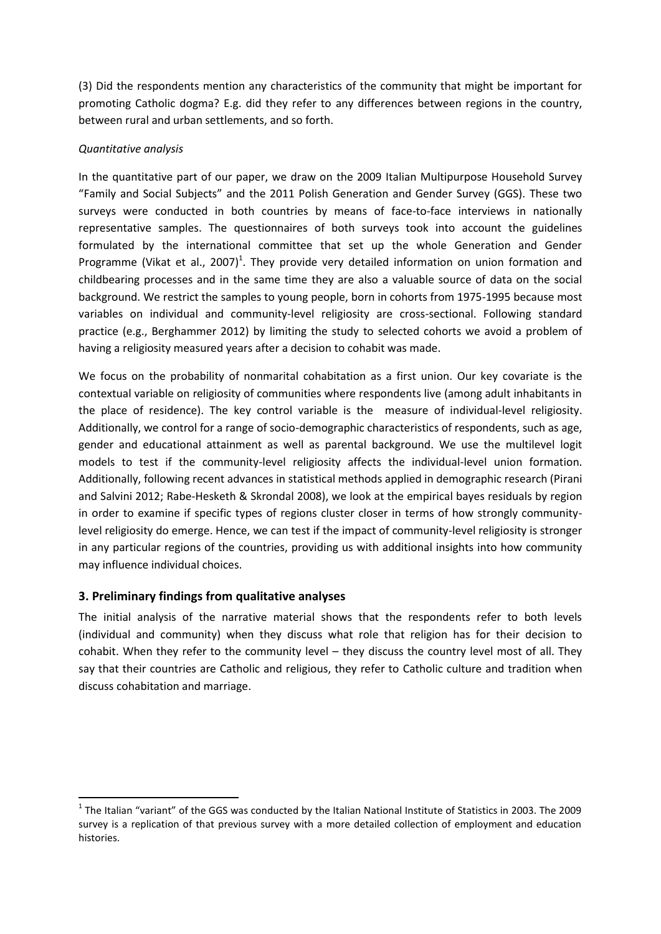(3) Did the respondents mention any characteristics of the community that might be important for promoting Catholic dogma? E.g. did they refer to any differences between regions in the country, between rural and urban settlements, and so forth.

## *Quantitative analysis*

In the quantitative part of our paper, we draw on the 2009 Italian Multipurpose Household Survey "Family and Social Subjects" and the 2011 Polish Generation and Gender Survey (GGS). These two surveys were conducted in both countries by means of face-to-face interviews in nationally representative samples. The questionnaires of both surveys took into account the guidelines formulated by the international committee that set up the whole Generation and Gender Programme (Vikat et al., 2007)<sup>1</sup>. They provide very detailed information on union formation and childbearing processes and in the same time they are also a valuable source of data on the social background. We restrict the samples to young people, born in cohorts from 1975-1995 because most variables on individual and community-level religiosity are cross-sectional. Following standard practice (e.g., Berghammer 2012) by limiting the study to selected cohorts we avoid a problem of having a religiosity measured years after a decision to cohabit was made.

We focus on the probability of nonmarital cohabitation as a first union. Our key covariate is the contextual variable on religiosity of communities where respondents live (among adult inhabitants in the place of residence). The key control variable is the measure of individual-level religiosity. Additionally, we control for a range of socio-demographic characteristics of respondents, such as age, gender and educational attainment as well as parental background. We use the multilevel logit models to test if the community-level religiosity affects the individual-level union formation. Additionally, following recent advances in statistical methods applied in demographic research (Pirani and Salvini 2012; Rabe-Hesketh & Skrondal 2008), we look at the empirical bayes residuals by region in order to examine if specific types of regions cluster closer in terms of how strongly communitylevel religiosity do emerge. Hence, we can test if the impact of community-level religiosity is stronger in any particular regions of the countries, providing us with additional insights into how community may influence individual choices.

# **3. Preliminary findings from qualitative analyses**

**.** 

The initial analysis of the narrative material shows that the respondents refer to both levels (individual and community) when they discuss what role that religion has for their decision to cohabit. When they refer to the community level – they discuss the country level most of all. They say that their countries are Catholic and religious, they refer to Catholic culture and tradition when discuss cohabitation and marriage.

 $<sup>1</sup>$  The Italian "variant" of the GGS was conducted by the Italian National Institute of Statistics in 2003. The 2009</sup> survey is a replication of that previous survey with a more detailed collection of employment and education histories.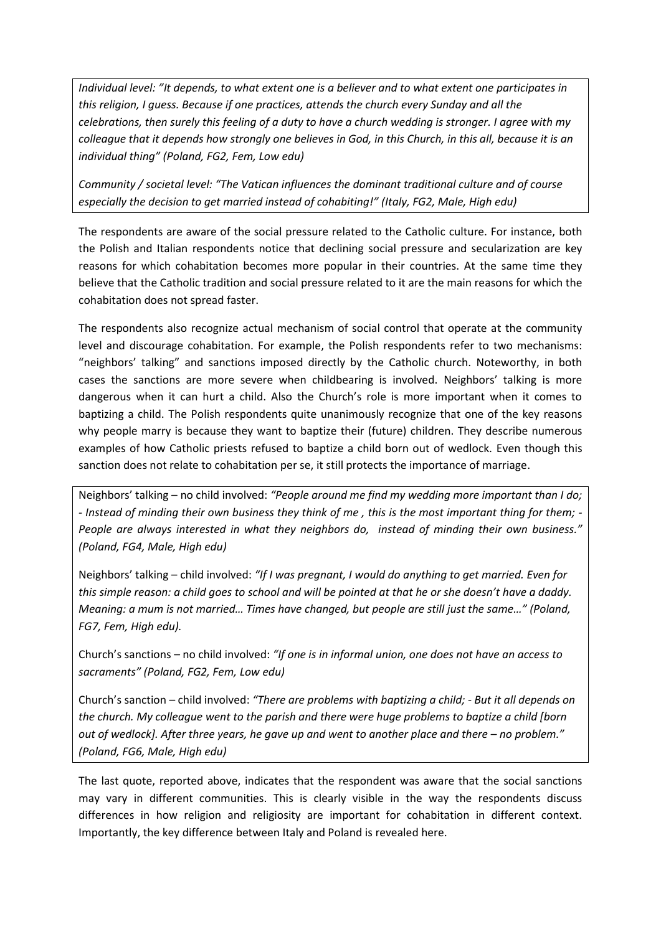*Individual level: "It depends, to what extent one is a believer and to what extent one participates in this religion, I guess. Because if one practices, attends the church every Sunday and all the celebrations, then surely this feeling of a duty to have a church wedding is stronger. I agree with my colleague that it depends how strongly one believes in God, in this Church, in this all, because it is an individual thing" (Poland, FG2, Fem, Low edu)*

*Community / societal level: "The Vatican influences the dominant traditional culture and of course especially the decision to get married instead of cohabiting!" (Italy, FG2, Male, High edu)*

The respondents are aware of the social pressure related to the Catholic culture. For instance, both the Polish and Italian respondents notice that declining social pressure and secularization are key reasons for which cohabitation becomes more popular in their countries. At the same time they believe that the Catholic tradition and social pressure related to it are the main reasons for which the cohabitation does not spread faster.

The respondents also recognize actual mechanism of social control that operate at the community level and discourage cohabitation. For example, the Polish respondents refer to two mechanisms: "neighbors' talking" and sanctions imposed directly by the Catholic church. Noteworthy, in both cases the sanctions are more severe when childbearing is involved. Neighbors' talking is more dangerous when it can hurt a child. Also the Church's role is more important when it comes to baptizing a child. The Polish respondents quite unanimously recognize that one of the key reasons why people marry is because they want to baptize their (future) children. They describe numerous examples of how Catholic priests refused to baptize a child born out of wedlock. Even though this sanction does not relate to cohabitation per se, it still protects the importance of marriage.

Neighbors' talking – no child involved: *"People around me find my wedding more important than I do; - Instead of minding their own business they think of me , this is the most important thing for them; - People are always interested in what they neighbors do, instead of minding their own business." (Poland, FG4, Male, High edu)* 

Neighbors' talking – child involved: *"If I was pregnant, I would do anything to get married. Even for this simple reason: a child goes to school and will be pointed at that he or she doesn't have a daddy. Meaning: a mum is not married… Times have changed, but people are still just the same…" (Poland, FG7, Fem, High edu).* 

Church's sanctions – no child involved: *"If one is in informal union, one does not have an access to sacraments" (Poland, FG2, Fem, Low edu)* 

Church's sanction – child involved: *"There are problems with baptizing a child; - But it all depends on the church. My colleague went to the parish and there were huge problems to baptize a child [born out of wedlock]. After three years, he gave up and went to another place and there – no problem." (Poland, FG6, Male, High edu)*

The last quote, reported above, indicates that the respondent was aware that the social sanctions may vary in different communities. This is clearly visible in the way the respondents discuss differences in how religion and religiosity are important for cohabitation in different context. Importantly, the key difference between Italy and Poland is revealed here.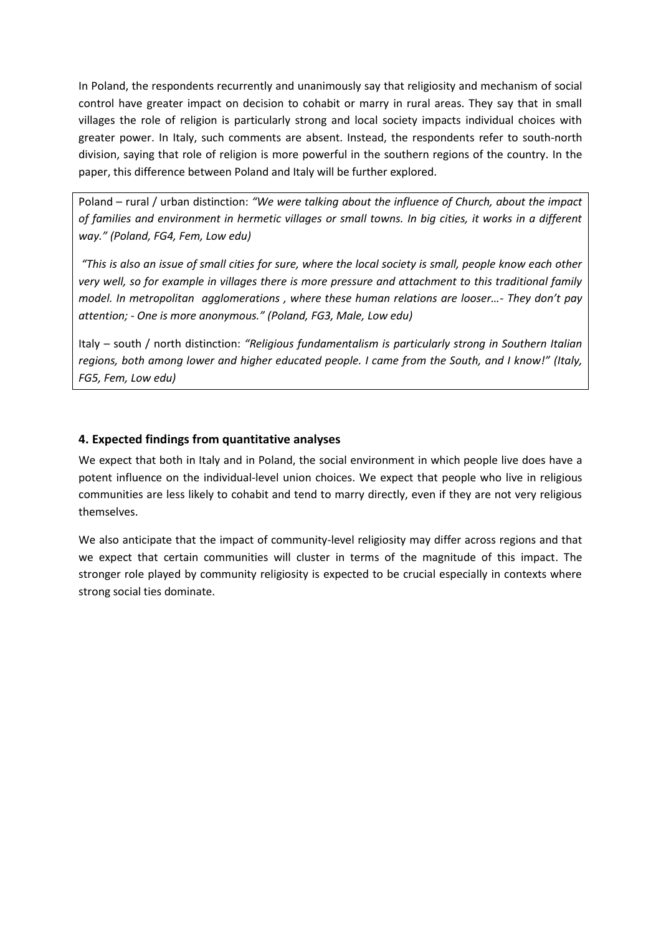In Poland, the respondents recurrently and unanimously say that religiosity and mechanism of social control have greater impact on decision to cohabit or marry in rural areas. They say that in small villages the role of religion is particularly strong and local society impacts individual choices with greater power. In Italy, such comments are absent. Instead, the respondents refer to south-north division, saying that role of religion is more powerful in the southern regions of the country. In the paper, this difference between Poland and Italy will be further explored.

Poland – rural / urban distinction: *"We were talking about the influence of Church, about the impact of families and environment in hermetic villages or small towns. In big cities, it works in a different way." (Poland, FG4, Fem, Low edu)*

*"This is also an issue of small cities for sure, where the local society is small, people know each other very well, so for example in villages there is more pressure and attachment to this traditional family model. In metropolitan agglomerations , where these human relations are looser…- They don't pay attention; - One is more anonymous." (Poland, FG3, Male, Low edu)*

Italy – south / north distinction: *"Religious fundamentalism is particularly strong in Southern Italian regions, both among lower and higher educated people. I came from the South, and I know!" (Italy, FG5, Fem, Low edu)*

# **4. Expected findings from quantitative analyses**

We expect that both in Italy and in Poland, the social environment in which people live does have a potent influence on the individual-level union choices. We expect that people who live in religious communities are less likely to cohabit and tend to marry directly, even if they are not very religious themselves.

We also anticipate that the impact of community-level religiosity may differ across regions and that we expect that certain communities will cluster in terms of the magnitude of this impact. The stronger role played by community religiosity is expected to be crucial especially in contexts where strong social ties dominate.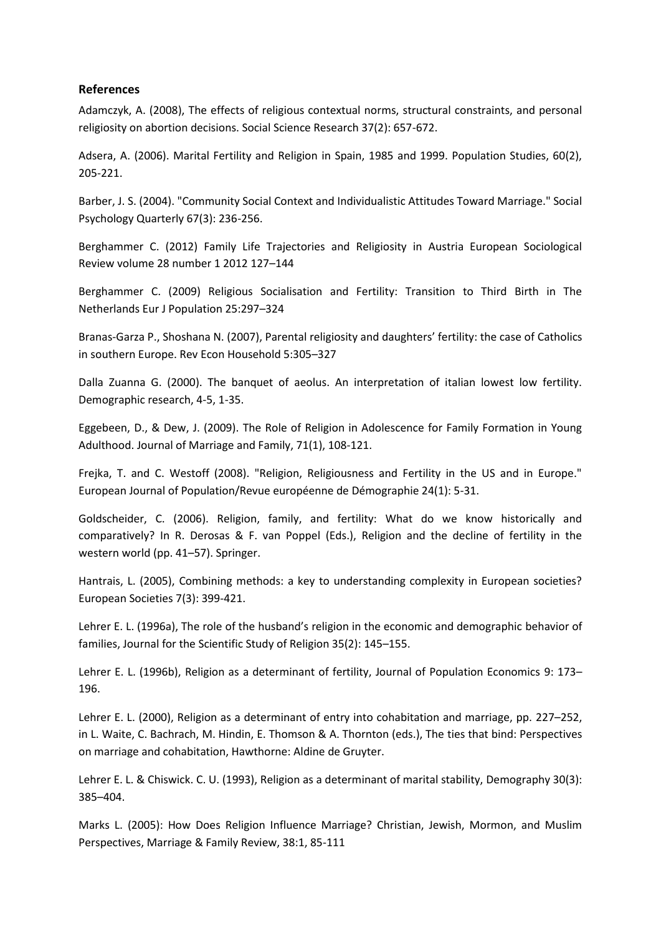#### **References**

Adamczyk, A. (2008), The effects of religious contextual norms, structural constraints, and personal religiosity on abortion decisions. Social Science Research 37(2): 657-672.

Adsera, A. (2006). Marital Fertility and Religion in Spain, 1985 and 1999. Population Studies, 60(2), 205-221.

Barber, J. S. (2004). "Community Social Context and Individualistic Attitudes Toward Marriage." Social Psychology Quarterly 67(3): 236-256.

Berghammer C. (2012) Family Life Trajectories and Religiosity in Austria European Sociological Review volume 28 number 1 2012 127–144

Berghammer C. (2009) Religious Socialisation and Fertility: Transition to Third Birth in The Netherlands Eur J Population 25:297–324

Branas-Garza P., Shoshana N. (2007), Parental religiosity and daughters' fertility: the case of Catholics in southern Europe. Rev Econ Household 5:305–327

Dalla Zuanna G. (2000). The banquet of aeolus. An interpretation of italian lowest low fertility. Demographic research, 4-5, 1-35.

Eggebeen, D., & Dew, J. (2009). The Role of Religion in Adolescence for Family Formation in Young Adulthood. Journal of Marriage and Family, 71(1), 108-121.

Frejka, T. and C. Westoff (2008). "Religion, Religiousness and Fertility in the US and in Europe." European Journal of Population/Revue européenne de Démographie 24(1): 5-31.

Goldscheider, C. (2006). Religion, family, and fertility: What do we know historically and comparatively? In R. Derosas & F. van Poppel (Eds.), Religion and the decline of fertility in the western world (pp. 41–57). Springer.

Hantrais, L. (2005), Combining methods: a key to understanding complexity in European societies? European Societies 7(3): 399-421.

Lehrer E. L. (1996a), The role of the husband's religion in the economic and demographic behavior of families, Journal for the Scientific Study of Religion 35(2): 145–155.

Lehrer E. L. (1996b), Religion as a determinant of fertility, Journal of Population Economics 9: 173– 196.

Lehrer E. L. (2000), Religion as a determinant of entry into cohabitation and marriage, pp. 227–252, in L. Waite, C. Bachrach, M. Hindin, E. Thomson & A. Thornton (eds.), The ties that bind: Perspectives on marriage and cohabitation, Hawthorne: Aldine de Gruyter.

Lehrer E. L. & Chiswick. C. U. (1993), Religion as a determinant of marital stability, Demography 30(3): 385–404.

Marks L. (2005): How Does Religion Influence Marriage? Christian, Jewish, Mormon, and Muslim Perspectives, Marriage & Family Review, 38:1, 85-111